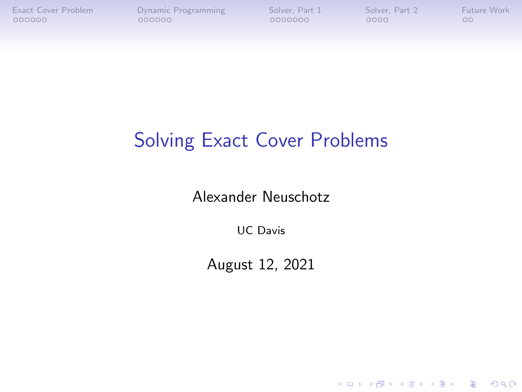K ロ ▶ K 個 ▶ K 할 ▶ K 할 ▶ 이 할 → 9 Q Q →

## Solving Exact Cover Problems

Alexander Neuschotz

UC Davis

August 12, 2021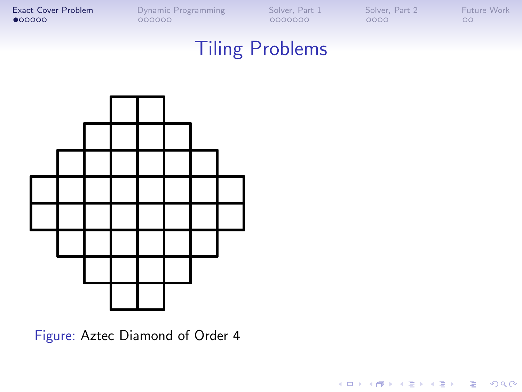K ロ ▶ K @ ▶ K 할 ▶ K 할 ▶ | 할 | © 9 Q @

## Tiling Problems

<span id="page-1-0"></span>

Figure: Aztec Diamond of Order 4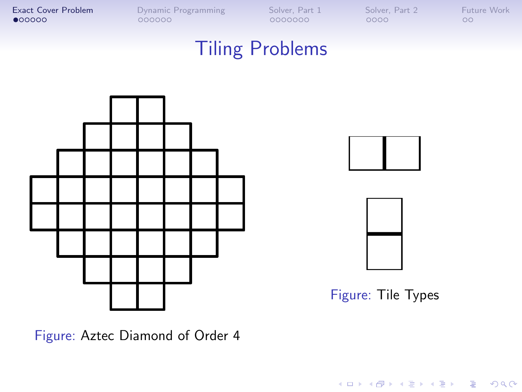#### Tiling Problems







Figure: Tile Types

イロト イ母 トイミト イミト ニヨー りんぺ

Figure: Aztec Diamond of Order 4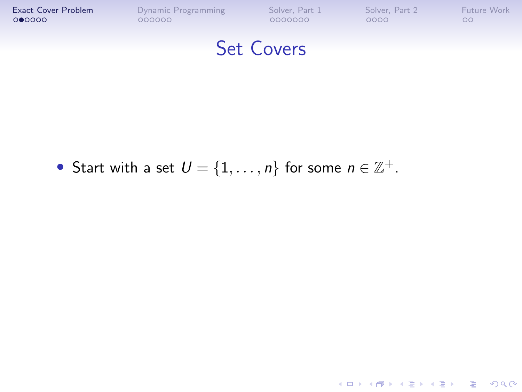

K ロ ▶ K @ ▶ K 할 ▶ K 할 ▶ | 할 | © 9 Q @

• Start with a set  $U = \{1, \ldots, n\}$  for some  $n \in \mathbb{Z}^+$ .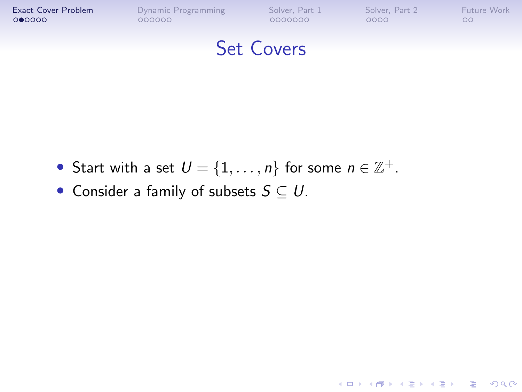

K ロ ▶ K 個 ▶ K 결 ▶ K 결 ▶ │ 결 │ K 9 Q Q

- Start with a set  $U = \{1, \ldots, n\}$  for some  $n \in \mathbb{Z}^+$ .
	- Consider a family of subsets  $S \subseteq U$ .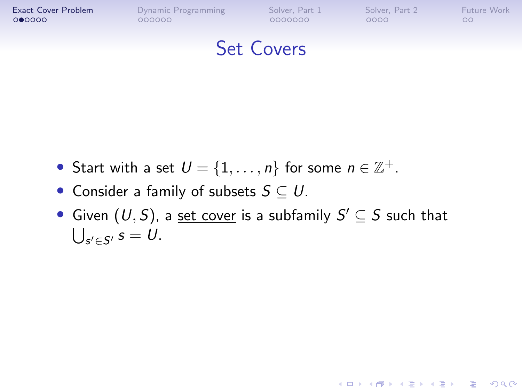

#### Set Covers

- Start with a set  $U = \{1, \ldots, n\}$  for some  $n \in \mathbb{Z}^+$ .
- Consider a family of subsets  $S \subset U$ .
- Given  $(U, S)$ , a set cover is a subfamily  $S' \subseteq S$  such that  $\bigcup_{s' \in \mathcal{S}'} s = U.$

**KORK ERKER ADAM ADA**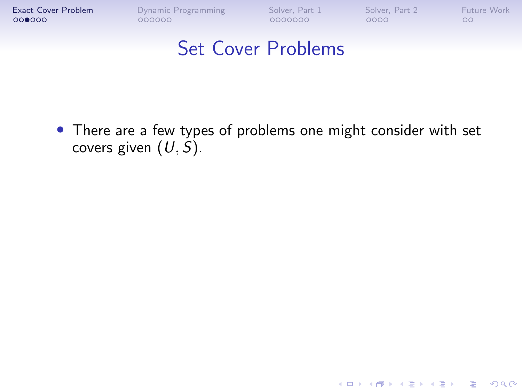**[Exact Cover Problem](#page-1-0)** [Dynamic Programming](#page-18-0) [Solver, Part 1](#page-37-0) [Solver, Part 2](#page-63-0) [Future Work](#page-78-0)<br> **OOOO** 0000000 0000000 000000 00000 0000 000

K ロ ▶ K 個 ▶ K 결 ▶ K 결 ▶ │ 결 │ K 9 Q Q

#### Set Cover Problems

• There are a few types of problems one might consider with set covers given  $(U, S)$ .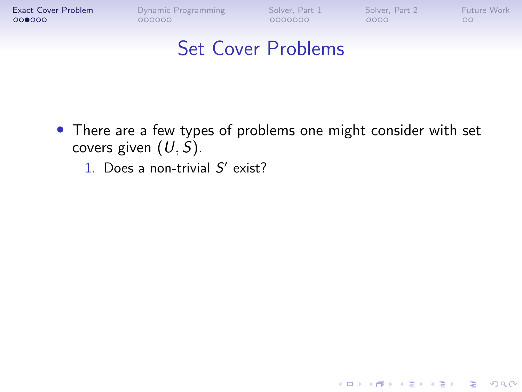**[Exact Cover Problem](#page-1-0)** [Dynamic Programming](#page-18-0) [Solver, Part 1](#page-37-0) [Solver, Part 2](#page-63-0) [Future Work](#page-78-0)<br> **OOOO** 0000000 0000000 000000 00000 0000 000

K ロ ▶ K 個 ▶ K 결 ▶ K 결 ▶ │ 결 │ K 9 Q Q

- There are a few types of problems one might consider with set covers given  $(U, S)$ .
	- 1. Does a non-trivial  $S'$  exist?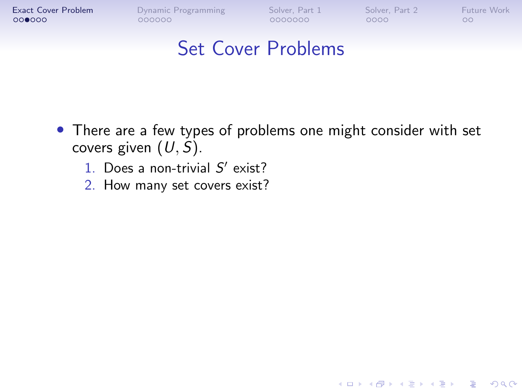**KORK ERKER ADA ADA KORA** 

- There are a few types of problems one might consider with set covers given  $(U, S)$ .
	- 1. Does a non-trivial  $S'$  exist?
	- 2. How many set covers exist?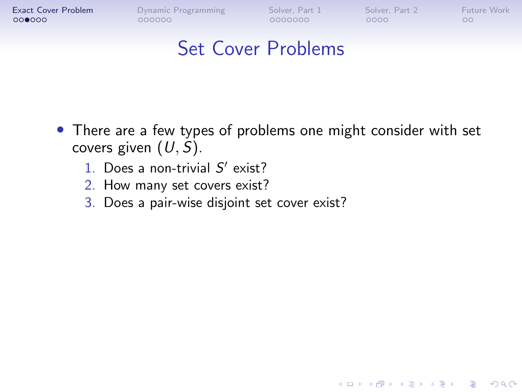**KORK ERKER ADA ADA KORA** 

- There are a few types of problems one might consider with set covers given  $(U, S)$ .
	- 1. Does a non-trivial  $S'$  exist?
	- 2. How many set covers exist?
	- 3. Does a pair-wise disjoint set cover exist?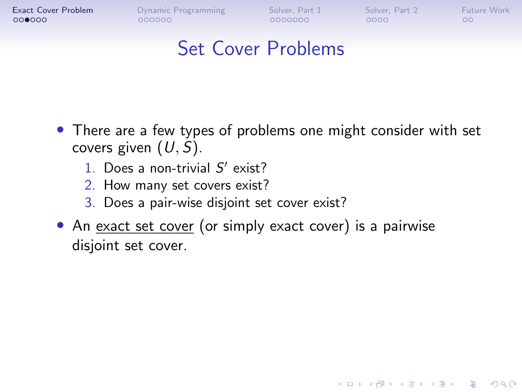$000000$ 

0000000

 $0000$ 

**KORK ERKER ADA ADA KORA** 

 $\circ$ 

- There are a few types of problems one might consider with set covers given  $(U, S)$ .
	- 1. Does a non-trivial  $S'$  exist?
	- 2. How many set covers exist?
	- 3. Does a pair-wise disjoint set cover exist?
- An exact set cover (or simply exact cover) is a pairwise disjoint set cover.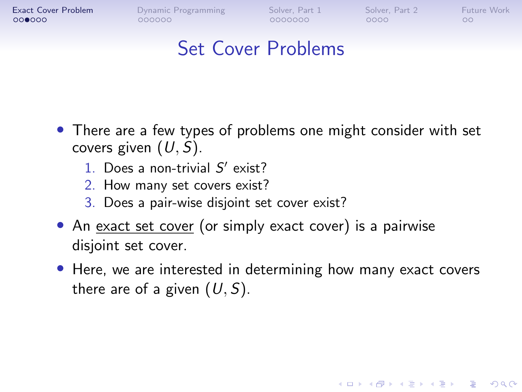$000000$ 

0000000

 $0000$ 

**KORK EXTERNE PROVIDE** 

 $\circ$ 

- There are a few types of problems one might consider with set covers given  $(U, S)$ .
	- 1. Does a non-trivial  $S'$  exist?
	- 2. How many set covers exist?
	- 3. Does a pair-wise disjoint set cover exist?
- An exact set cover (or simply exact cover) is a pairwise disjoint set cover.
- Here, we are interested in determining how many exact covers there are of a given  $(U, S)$ .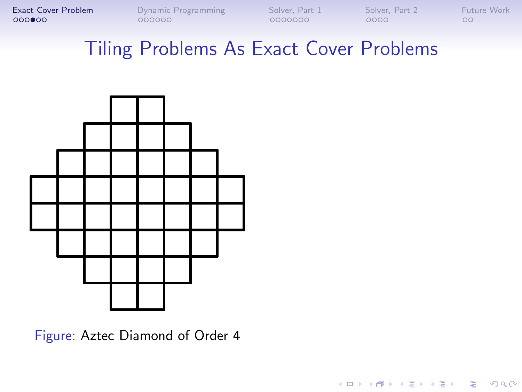**[Exact Cover Problem](#page-1-0)** [Dynamic Programming](#page-18-0) [Solver, Part 1](#page-37-0) [Solver, Part 2](#page-63-0) [Future Work](#page-78-0)<br> **OOOOOO** 0000000 000000 000000 00000 0000 000

K ロ ▶ K 個 ▶ K 결 ▶ K 결 ▶ │ 결 │ K 9 Q Q

## Tiling Problems As Exact Cover Problems



Figure: Aztec Diamond of Order 4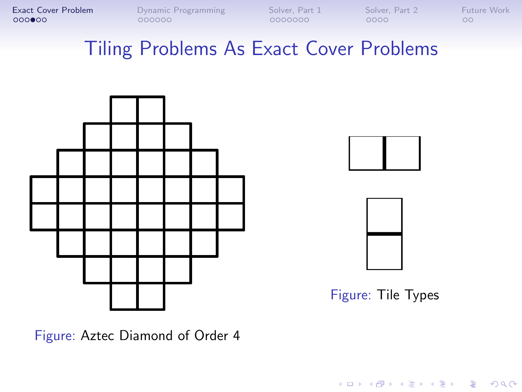**[Exact Cover Problem](#page-1-0)** [Dynamic Programming](#page-18-0) [Solver, Part 1](#page-37-0) [Solver, Part 2](#page-63-0) [Future Work](#page-78-0)<br> **OOOOOO** 0000000 000000 000000 00000 0000 000

## Tiling Problems As Exact Cover Problems





Figure: Tile Types

**KOD KAR KED KED E VOQO** 

Figure: Aztec Diamond of Order 4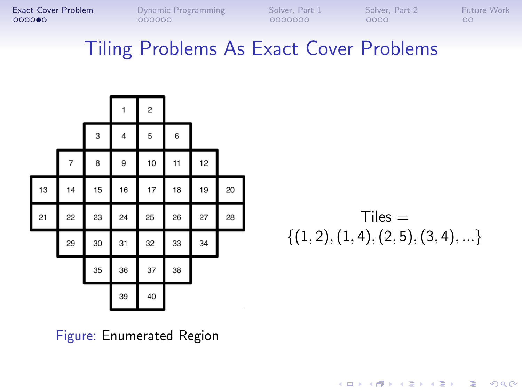#### Tiling Problems As Exact Cover Problems

|    |    |    | 1  | $\overline{c}$ |    |    |    |
|----|----|----|----|----------------|----|----|----|
|    |    | 3  | 4  | 5              | 6  |    |    |
|    | 7  | 8  | 9  | 10             | 11 | 12 |    |
| 13 | 14 | 15 | 16 | 17             | 18 | 19 | 20 |
| 21 | 22 | 23 | 24 | 25             | 26 | 27 | 28 |
|    | 29 | 30 | 31 | 32             | 33 | 34 |    |
|    |    | 35 | 36 | 37             | 38 |    |    |
|    |    |    | 39 | 40             |    |    |    |

 $Tiles =$  $\{(1, 2), (1, 4), (2, 5), (3, 4), \ldots\}$ 

**KORK ERKER ADA ADA KORA** 

Figure: Enumerated Region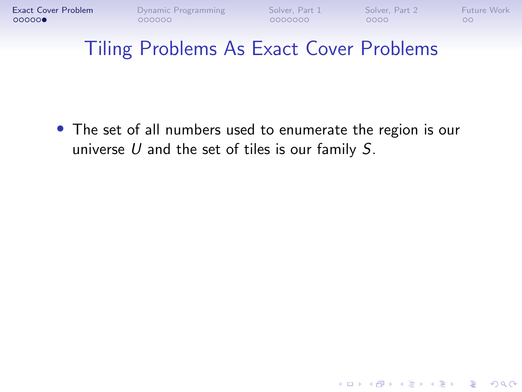**KORK ERKER ADA ADA KORA** 

## Tiling Problems As Exact Cover Problems

• The set of all numbers used to enumerate the region is our universe  $U$  and the set of tiles is our family  $S$ .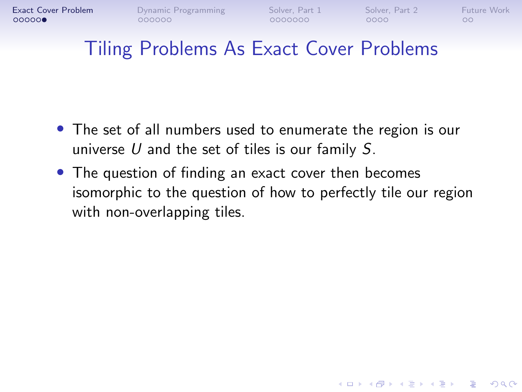**KORK ERKER ADA ADA KORA** 

## Tiling Problems As Exact Cover Problems

- The set of all numbers used to enumerate the region is our universe  $U$  and the set of tiles is our family  $S$ .
- The question of finding an exact cover then becomes isomorphic to the question of how to perfectly tile our region with non-overlapping tiles.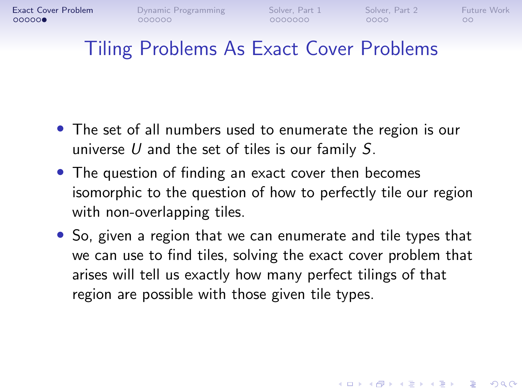**KORK ERKER ADAM ADA** 

## Tiling Problems As Exact Cover Problems

- The set of all numbers used to enumerate the region is our universe  $U$  and the set of tiles is our family  $S$ .
- The question of finding an exact cover then becomes isomorphic to the question of how to perfectly tile our region with non-overlapping tiles.
- So, given a region that we can enumerate and tile types that we can use to find tiles, solving the exact cover problem that arises will tell us exactly how many perfect tilings of that region are possible with those given tile types.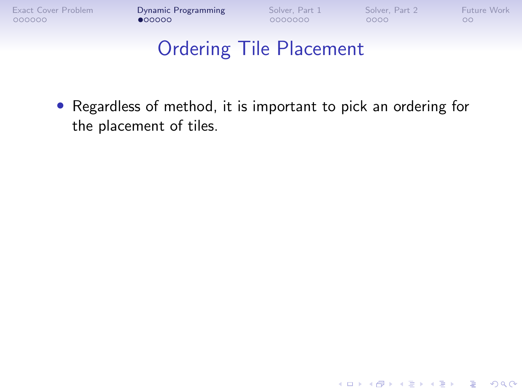K ロ ▶ K 個 ▶ K 할 ▶ K 할 ▶ 이 할 → 9 Q Q →

# Ordering Tile Placement

<span id="page-18-0"></span>• Regardless of method, it is important to pick an ordering for the placement of tiles.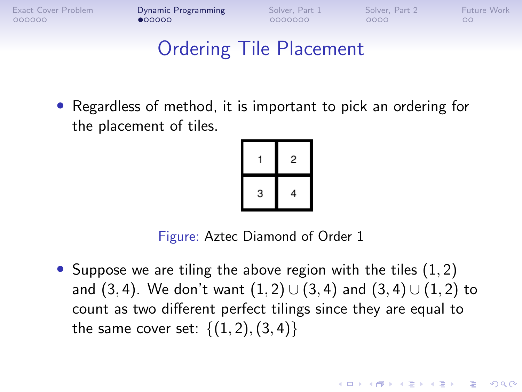$•00000$ 

0000000

 $0000$ 

**KORKARYKERKER POLO** 

 $\circ$ 

# Ordering Tile Placement

• Regardless of method, it is important to pick an ordering for the placement of tiles.



Figure: Aztec Diamond of Order 1

• Suppose we are tiling the above region with the tiles  $(1, 2)$ and (3, 4). We don't want  $(1, 2) \cup (3, 4)$  and  $(3, 4) \cup (1, 2)$  to count as two different perfect tilings since they are equal to the same cover set:  $\{(1, 2), (3, 4)\}\$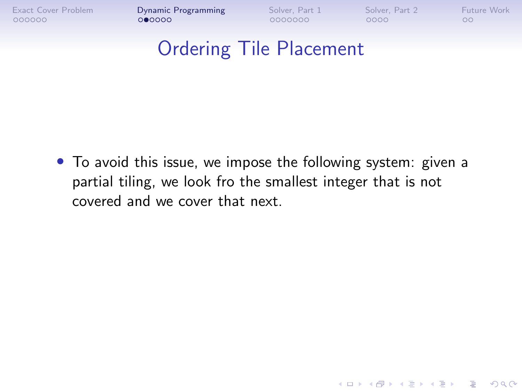**KORK ERKER ADA ADA KORA** 

## Ordering Tile Placement

• To avoid this issue, we impose the following system: given a partial tiling, we look fro the smallest integer that is not covered and we cover that next.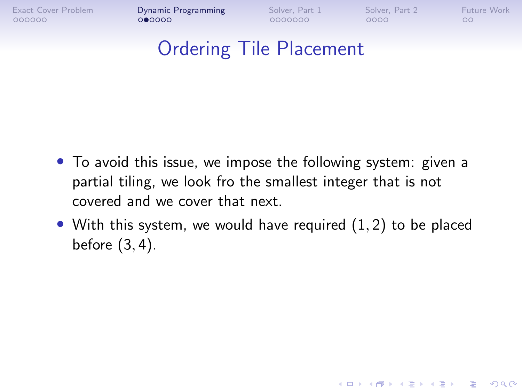[Exact Cover Problem](#page-1-0) **[Dynamic Programming](#page-18-0)** [Solver, Part 1](#page-37-0) [Solver, Part 2](#page-63-0) [Future Work](#page-78-0)<br>0000000 000000 000000 00000 00000 0000 000

**KORK ERKER ADA ADA KORA** 

## Ordering Tile Placement

- To avoid this issue, we impose the following system: given a partial tiling, we look fro the smallest integer that is not covered and we cover that next.
- With this system, we would have required  $(1, 2)$  to be placed before (3, 4).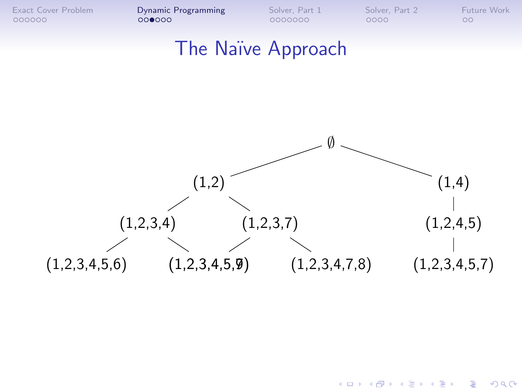**K ロ ▶ K 何 ▶ K ヨ ▶ K ヨ ▶** 

 $299$ 

÷.

#### The Naïve Approach

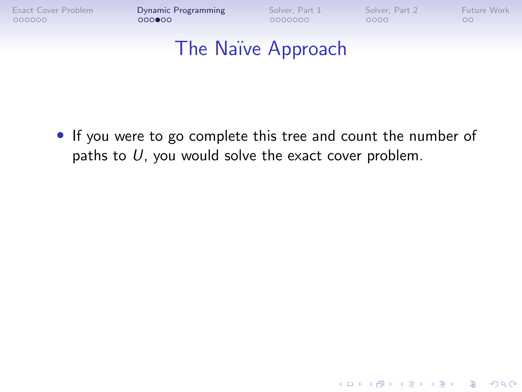**KORK ERKER ADA ADA KORA** 

#### The Naïve Approach

• If you were to go complete this tree and count the number of paths to  $U$ , you would solve the exact cover problem.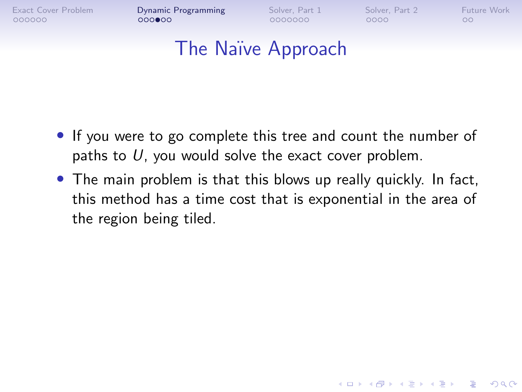$000$  $00$ 

0000000

 $0000$ 

**KORK ERKER ADA ADA KORA** 

#### The Naïve Approach

- If you were to go complete this tree and count the number of paths to  $U$ , you would solve the exact cover problem.
- The main problem is that this blows up really quickly. In fact, this method has a time cost that is exponential in the area of the region being tiled.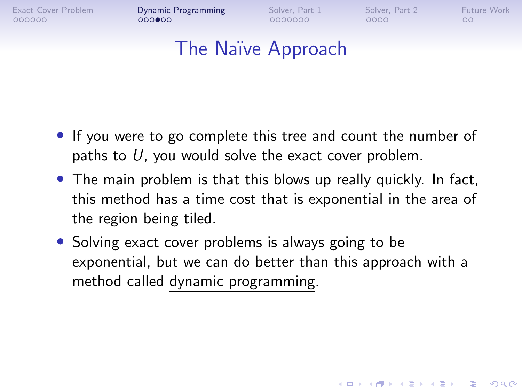$000$  $00$ 

0000000

 $0000$ 

**KORK ERKER ADAM ADA** 

 $\circ$ 

#### The Naïve Approach

- If you were to go complete this tree and count the number of paths to  $U$ , you would solve the exact cover problem.
- The main problem is that this blows up really quickly. In fact, this method has a time cost that is exponential in the area of the region being tiled.
- Solving exact cover problems is always going to be exponential, but we can do better than this approach with a method called dynamic programming.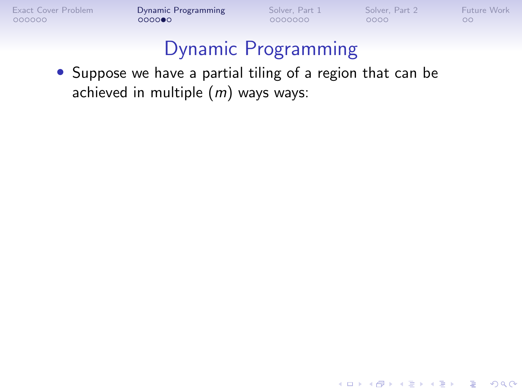K ロ ▶ K 個 ▶ K 결 ▶ K 결 ▶ │ 결 │ K 9 Q Q

## Dynamic Programming

• Suppose we have a partial tiling of a region that can be achieved in multiple  $(m)$  ways ways: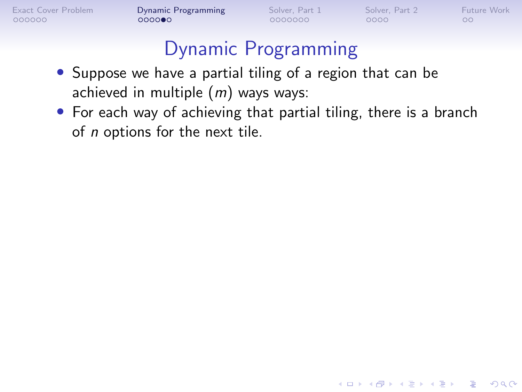**KORK ERKER ADA ADA KORA** 

- Suppose we have a partial tiling of a region that can be achieved in multiple  $(m)$  ways ways:
- For each way of achieving that partial tiling, there is a branch of n options for the next tile.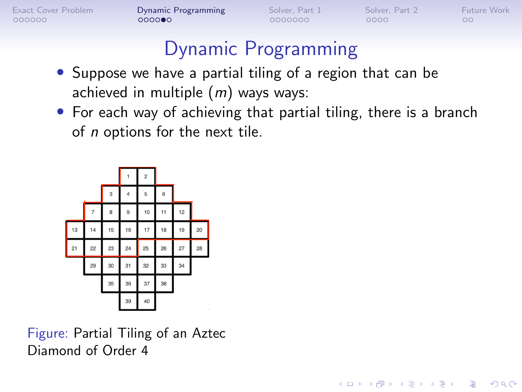$000000$ 

[Exact Cover Problem](#page-1-0) [Dynamic Programming](#page-18-0) [Solver, Part 1](#page-37-0) [Solver, Part 2](#page-63-0) [Future Work](#page-78-0)

**KORK ERKER ADA ADA KORA** 

 $\circ$ 

# Dynamic Programming

- Suppose we have a partial tiling of a region that can be achieved in multiple  $(m)$  ways ways:
- For each way of achieving that partial tiling, there is a branch of n options for the next tile.



Figure: Partial Tiling of an Aztec Diamond of Order 4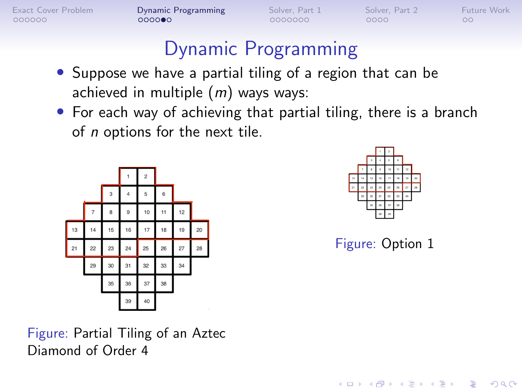$000000$ 

[Exact Cover Problem](#page-1-0) [Dynamic Programming](#page-18-0) [Solver, Part 1](#page-37-0) [Solver, Part 2](#page-63-0) [Future Work](#page-78-0)

 $\circ$ 

# Dynamic Programming

- Suppose we have a partial tiling of a region that can be achieved in multiple  $(m)$  ways ways:
- For each way of achieving that partial tiling, there is a branch of n options for the next tile.





Figure: Option 1

**KORK EXTERNE PROVIDE** 

Figure: Partial Tiling of an Aztec Diamond of Order 4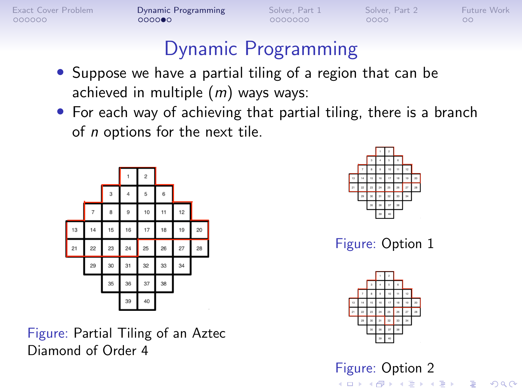$000000$ 

[Exact Cover Problem](#page-1-0) **[Dynamic Programming](#page-18-0)** [Solver, Part 1](#page-37-0) [Solver, Part 2](#page-63-0) [Future Work](#page-78-0)  $0000000$ 

0000000

 $0000$ 

 $\circ$ 

# Dynamic Programming

- Suppose we have a partial tiling of a region that can be achieved in multiple  $(m)$  ways ways:
- For each way of achieving that partial tiling, there is a branch of n options for the next tile.



Figure: Partial Tiling of an Aztec Diamond of Order 4



Figure: Option 1



Figure: Option 2

KO KA (FRA 1988) DE XONO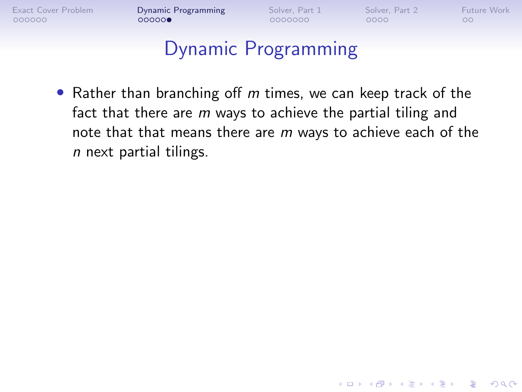**KORK ERKER ADA ADA KORA** 

# Dynamic Programming

• Rather than branching off  $m$  times, we can keep track of the fact that there are  $m$  ways to achieve the partial tiling and note that that means there are m ways to achieve each of the n next partial tilings.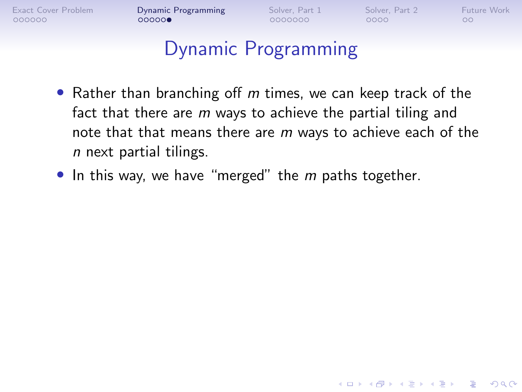[Exact Cover Problem](#page-1-0) **[Dynamic Programming](#page-18-0)** [Solver, Part 1](#page-37-0) [Solver, Part 2](#page-63-0) [Future Work](#page-78-0)<br>0000000 000000 000000 000000 00000 0000 000

**KORK ERKER ADA ADA KORA** 

- Rather than branching off  $m$  times, we can keep track of the fact that there are  $m$  ways to achieve the partial tiling and note that that means there are m ways to achieve each of the n next partial tilings.
- $\bullet$  In this way, we have "merged" the  $m$  paths together.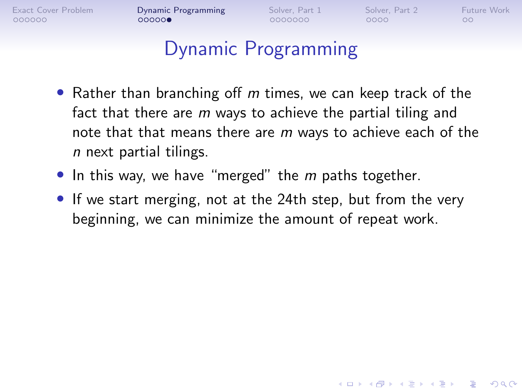**KORK ERKER ADA ADA KORA** 

- Rather than branching off  $m$  times, we can keep track of the fact that there are  $m$  ways to achieve the partial tiling and note that that means there are m ways to achieve each of the n next partial tilings.
- In this way, we have "merged" the  $m$  paths together.
- If we start merging, not at the 24th step, but from the very beginning, we can minimize the amount of repeat work.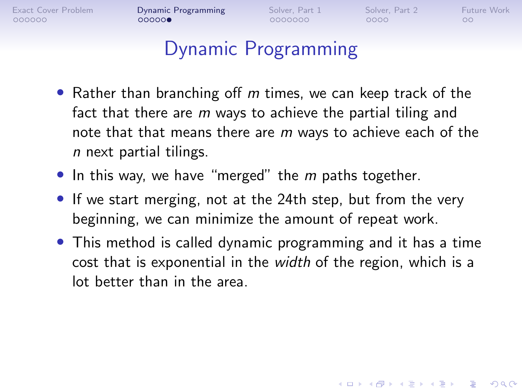0000000

 $0000$ 

**KORK ERKER ADAM ADA** 

 $\circ$ 

- Rather than branching off  $m$  times, we can keep track of the fact that there are  $m$  ways to achieve the partial tiling and note that that means there are m ways to achieve each of the n next partial tilings.
- In this way, we have "merged" the  $m$  paths together.
- If we start merging, not at the 24th step, but from the very beginning, we can minimize the amount of repeat work.
- This method is called dynamic programming and it has a time cost that is exponential in the width of the region, which is a lot better than in the area.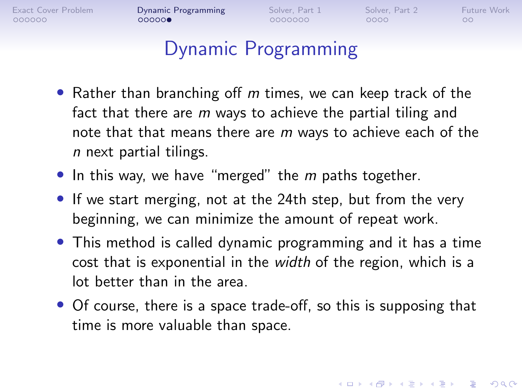$00000$ 

0000000

 $0000$ 

**KORK ERKER ADAM ADA** 

 $\circ$ 

- Rather than branching off  $m$  times, we can keep track of the fact that there are  $m$  ways to achieve the partial tiling and note that that means there are  $m$  ways to achieve each of the n next partial tilings.
- In this way, we have "merged" the  $m$  paths together.
- If we start merging, not at the 24th step, but from the very beginning, we can minimize the amount of repeat work.
- This method is called dynamic programming and it has a time cost that is exponential in the width of the region, which is a lot better than in the area.
- Of course, there is a space trade-off, so this is supposing that time is more valuable than space.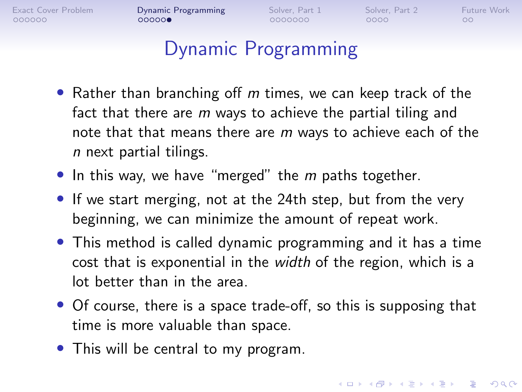$00000$ 

0000000

 $0000$ 

**KORK ERKER ADAM ADA** 

 $\circ$ 

# Dynamic Programming

- Rather than branching off  $m$  times, we can keep track of the fact that there are  $m$  ways to achieve the partial tiling and note that that means there are m ways to achieve each of the n next partial tilings.
- In this way, we have "merged" the  $m$  paths together.
- If we start merging, not at the 24th step, but from the very beginning, we can minimize the amount of repeat work.
- This method is called dynamic programming and it has a time cost that is exponential in the width of the region, which is a lot better than in the area.
- Of course, there is a space trade-off, so this is supposing that time is more valuable than space.
- This will be central to my program.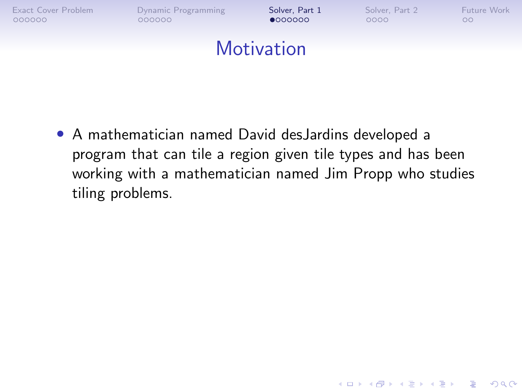<span id="page-37-0"></span>

**KORK ERKER ADA ADA KORA** 

#### **Motivation**

• A mathematician named David desJardins developed a program that can tile a region given tile types and has been working with a mathematician named Jim Propp who studies tiling problems.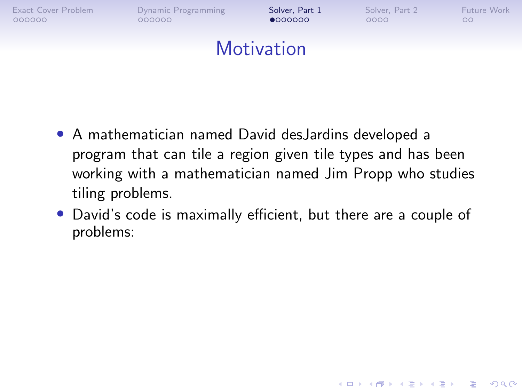**KORK ERKER ADA ADA KORA** 

#### **Motivation**

- A mathematician named David desJardins developed a program that can tile a region given tile types and has been working with a mathematician named Jim Propp who studies tiling problems.
- David's code is maximally efficient, but there are a couple of problems: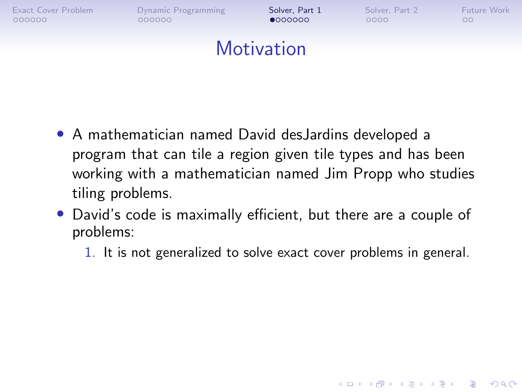**KORK ERKER ADAM ADA** 

#### **Motivation**

- A mathematician named David desJardins developed a program that can tile a region given tile types and has been working with a mathematician named Jim Propp who studies tiling problems.
- David's code is maximally efficient, but there are a couple of problems:
	- 1. It is not generalized to solve exact cover problems in general.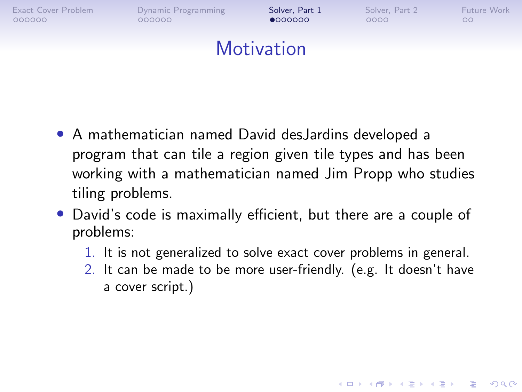$000000$ 

[Exact Cover Problem](#page-1-0) [Dynamic Programming](#page-18-0) **[Solver, Part 1](#page-37-0)** [Solver, Part 2](#page-63-0) [Future Work](#page-78-0)<br>
0000000 000000 000000 00000 0000 000

 $•000000$ 

 $0000$ 

**KORK ERKER ADAM ADA** 

 $\circ$ 

#### **Motivation**

- A mathematician named David desJardins developed a program that can tile a region given tile types and has been working with a mathematician named Jim Propp who studies tiling problems.
- David's code is maximally efficient, but there are a couple of problems:
	- 1. It is not generalized to solve exact cover problems in general.
	- 2. It can be made to be more user-friendly. (e.g. It doesn't have a cover script.)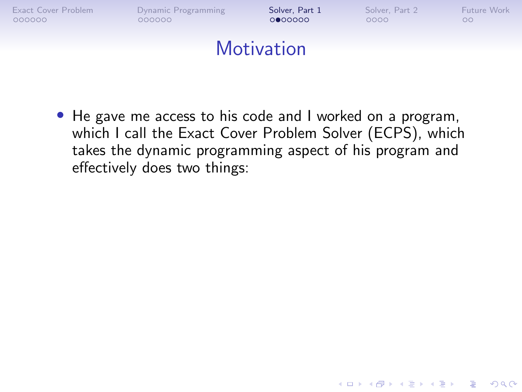

• He gave me access to his code and I worked on a program, which I call the Exact Cover Problem Solver (ECPS), which takes the dynamic programming aspect of his program and effectively does two things:

**KORK ERKER ADA ADA KORA**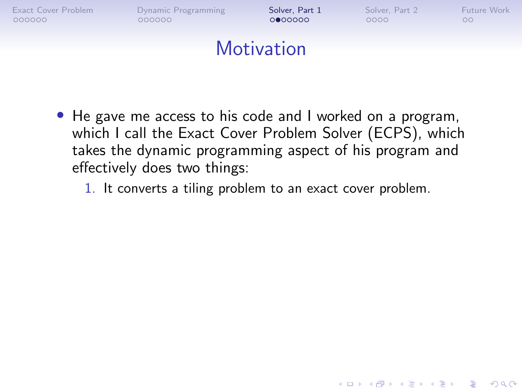

- He gave me access to his code and I worked on a program, which I call the Exact Cover Problem Solver (ECPS), which takes the dynamic programming aspect of his program and effectively does two things:
	- 1. It converts a tiling problem to an exact cover problem.

**KORK ERKER ADA ADA KORA**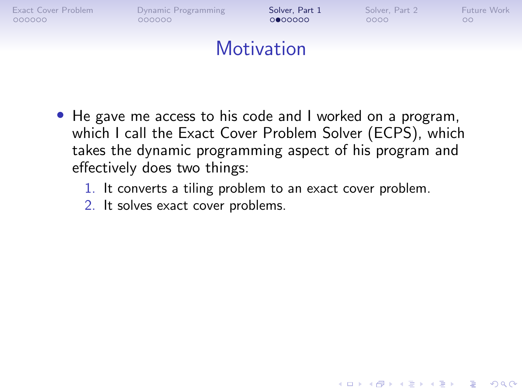

- He gave me access to his code and I worked on a program, which I call the Exact Cover Problem Solver (ECPS), which takes the dynamic programming aspect of his program and effectively does two things:
	- 1. It converts a tiling problem to an exact cover problem.

**KORK ERKER ADA ADA KORA** 

2. It solves exact cover problems.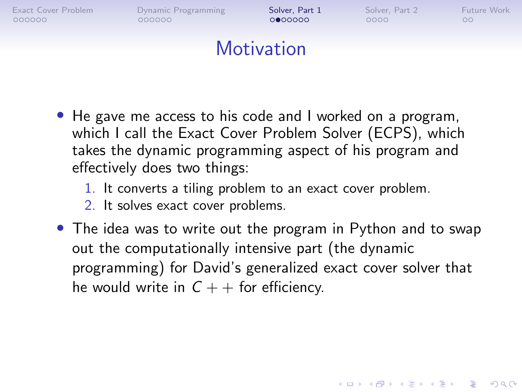

- He gave me access to his code and I worked on a program, which I call the Exact Cover Problem Solver (ECPS), which takes the dynamic programming aspect of his program and effectively does two things:
	- 1. It converts a tiling problem to an exact cover problem.
	- 2. It solves exact cover problems.
- The idea was to write out the program in Python and to swap out the computationally intensive part (the dynamic programming) for David's generalized exact cover solver that he would write in  $C + +$  for efficiency.

**KORK ERKER ADAM ADA**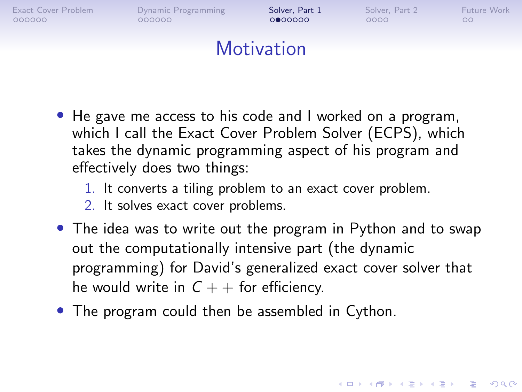

- He gave me access to his code and I worked on a program, which I call the Exact Cover Problem Solver (ECPS), which takes the dynamic programming aspect of his program and effectively does two things:
	- 1. It converts a tiling problem to an exact cover problem.
	- 2. It solves exact cover problems.
- The idea was to write out the program in Python and to swap out the computationally intensive part (the dynamic programming) for David's generalized exact cover solver that he would write in  $C + +$  for efficiency.

**KORKARYKERKER POLO** 

• The program could then be assembled in Cython.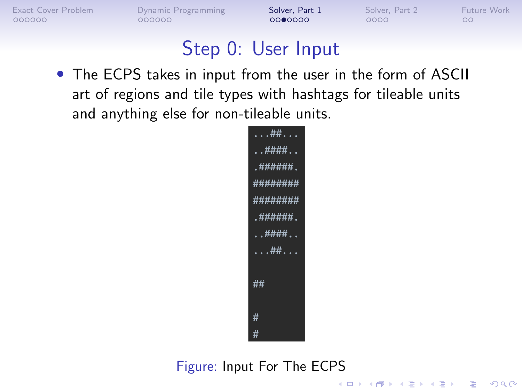000000

[Exact Cover Problem](#page-1-0) [Dynamic Programming](#page-18-0) **[Solver, Part 1](#page-37-0)** [Solver, Part 2](#page-63-0) [Future Work](#page-78-0)<br>
0000000 000000 000000 00000 0000 000

**KORK ERKER ADA ADA KORA** 

 $\circ$ 

#### Step 0: User Input

• The ECPS takes in input from the user in the form of ASCII art of regions and tile types with hashtags for tileable units and anything else for non-tileable units.



#### Figure: Input For The ECPS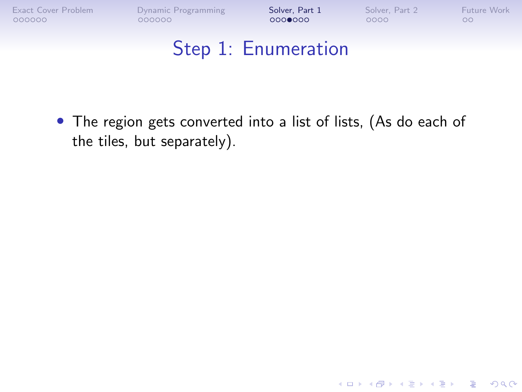K ロ ▶ K 個 ▶ K 결 ▶ K 결 ▶ │ 결 │ K 9 Q Q

#### Step 1: Enumeration

• The region gets converted into a list of lists, (As do each of the tiles, but separately).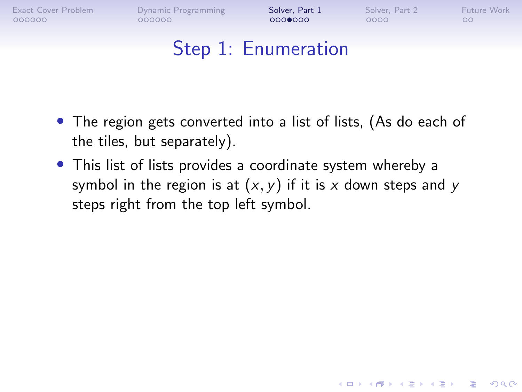$000000$ 

 $0000000$ 

 $0000$ 

**KORK ERKER ADA ADA KORA** 

 $\circ$ 

## Step 1: Enumeration

- The region gets converted into a list of lists, (As do each of the tiles, but separately).
- This list of lists provides a coordinate system whereby a symbol in the region is at  $(x, y)$  if it is x down steps and y steps right from the top left symbol.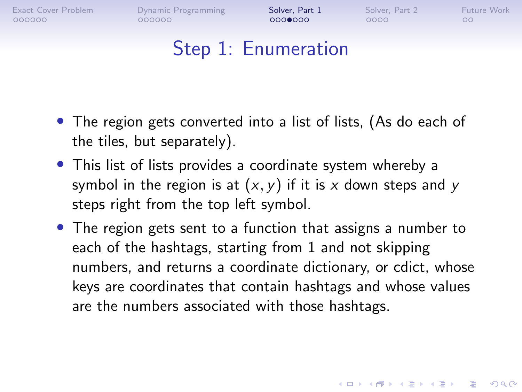$000000$ 

 $0000000$ 

 $0000$ 

**KORK ERKER ADAM ADA** 

 $\circ$ 

#### Step 1: Enumeration

- The region gets converted into a list of lists, (As do each of the tiles, but separately).
- This list of lists provides a coordinate system whereby a symbol in the region is at  $(x, y)$  if it is x down steps and y steps right from the top left symbol.
- The region gets sent to a function that assigns a number to each of the hashtags, starting from 1 and not skipping numbers, and returns a coordinate dictionary, or cdict, whose keys are coordinates that contain hashtags and whose values are the numbers associated with those hashtags.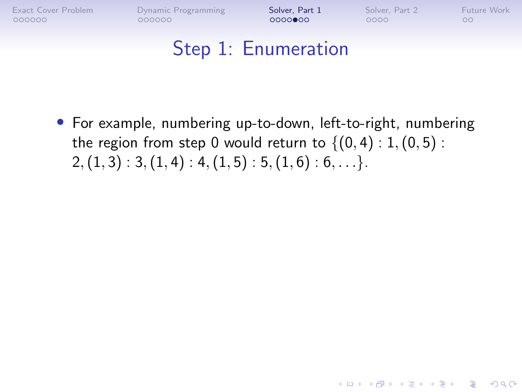**KORK ERKER ADAM ADA** 

## Step 1: Enumeration

• For example, numbering up-to-down, left-to-right, numbering the region from step 0 would return to  $\{(0,4): 1, (0,5):$  $2, (1, 3) : 3, (1, 4) : 4, (1, 5) : 5, (1, 6) : 6, \ldots$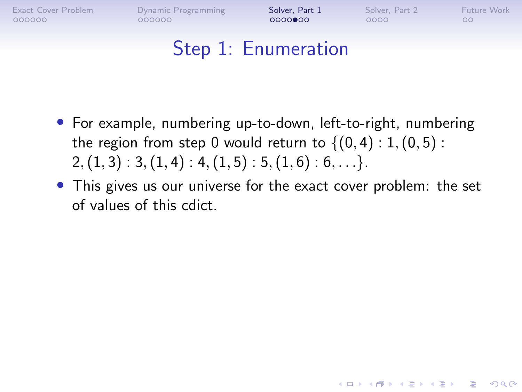**KORK ERKER ADA ADA KORA** 

# Step 1: Enumeration

- For example, numbering up-to-down, left-to-right, numbering the region from step 0 would return to  $\{(0,4): 1, (0,5):$  $2, (1, 3) : 3, (1, 4) : 4, (1, 5) : 5, (1, 6) : 6, \ldots$
- This gives us our universe for the exact cover problem: the set of values of this cdict.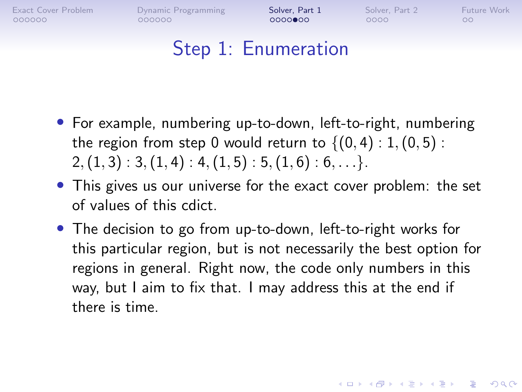$000000$ 

 $0000$  $00$ 

 $0000$ 

**KORKARYKERKER POLO** 

 $\circ$ 

### Step 1: Enumeration

- For example, numbering up-to-down, left-to-right, numbering the region from step 0 would return to  $\{(0,4): 1, (0,5):$  $2, (1, 3) : 3, (1, 4) : 4, (1, 5) : 5, (1, 6) : 6, \ldots$
- This gives us our universe for the exact cover problem: the set of values of this cdict.
- The decision to go from up-to-down, left-to-right works for this particular region, but is not necessarily the best option for regions in general. Right now, the code only numbers in this way, but I aim to fix that. I may address this at the end if there is time.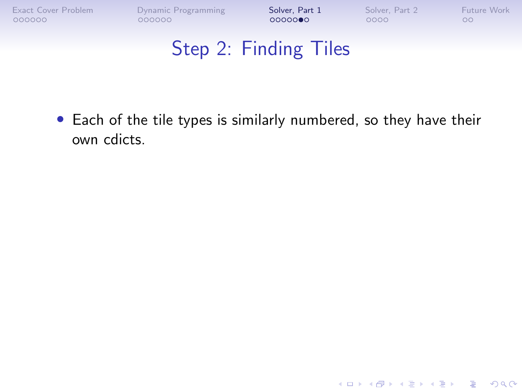K ロ ▶ K 個 ▶ K 결 ▶ K 결 ▶ │ 결 │ K 9 Q Q

# Step 2: Finding Tiles

• Each of the tile types is similarly numbered, so they have their own cdicts.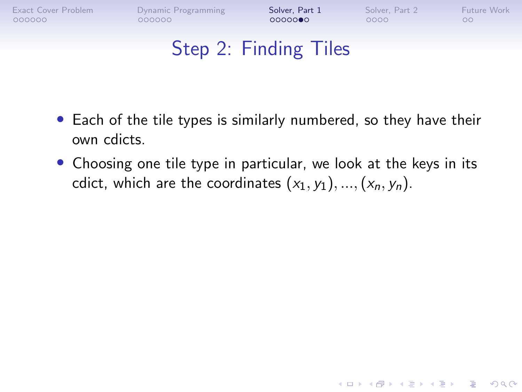**KORK ERKER ADAM ADA** 

# Step 2: Finding Tiles

- Each of the tile types is similarly numbered, so they have their own cdicts.
- Choosing one tile type in particular, we look at the keys in its cdict, which are the coordinates  $(x_1, y_1), ..., (x_n, y_n)$ .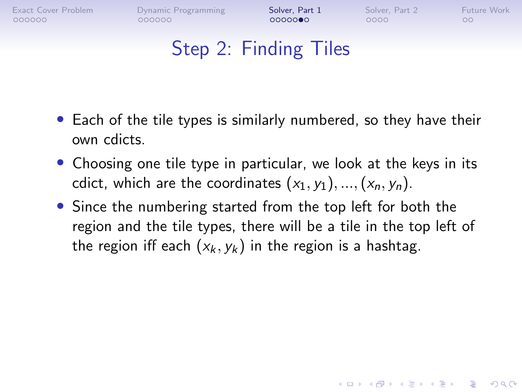$000000$ 

**KORK ERKER ADAM ADA** 

 $\circ$ 

# Step 2: Finding Tiles

- Each of the tile types is similarly numbered, so they have their own cdicts.
- Choosing one tile type in particular, we look at the keys in its cdict, which are the coordinates  $(x_1, y_1), ..., (x_n, y_n)$ .
- Since the numbering started from the top left for both the region and the tile types, there will be a tile in the top left of the region iff each  $(x_k, y_k)$  in the region is a hashtag.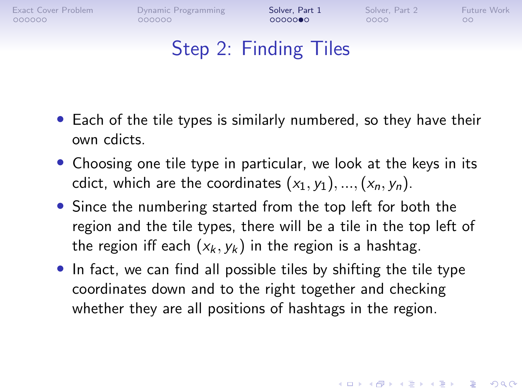$000000$ 

**KORKARYKERKER POLO** 

 $\circ$ 

# Step 2: Finding Tiles

- Each of the tile types is similarly numbered, so they have their own cdicts.
- Choosing one tile type in particular, we look at the keys in its cdict, which are the coordinates  $(x_1, y_1), ..., (x_n, y_n)$ .
- Since the numbering started from the top left for both the region and the tile types, there will be a tile in the top left of the region iff each  $(x_k, y_k)$  in the region is a hashtag.
- In fact, we can find all possible tiles by shifting the tile type coordinates down and to the right together and checking whether they are all positions of hashtags in the region.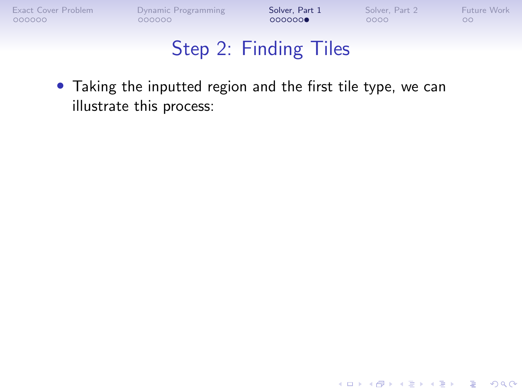K ロ ▶ K 個 ▶ K 할 ▶ K 할 ▶ 이 할 → 9 Q Q →

#### Step 2: Finding Tiles

• Taking the inputted region and the first tile type, we can illustrate this process: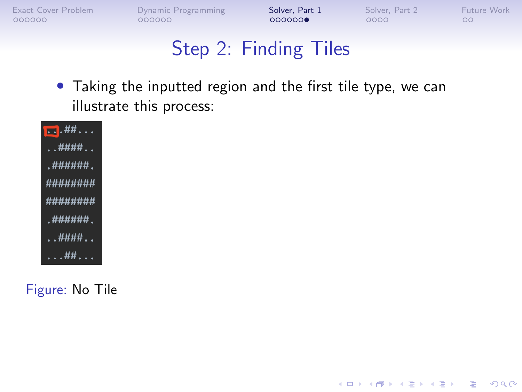**KORK ERKER ADA ADA KORA** 

## Step 2: Finding Tiles

• Taking the inputted region and the first tile type, we can illustrate this process:



Figure: No Tile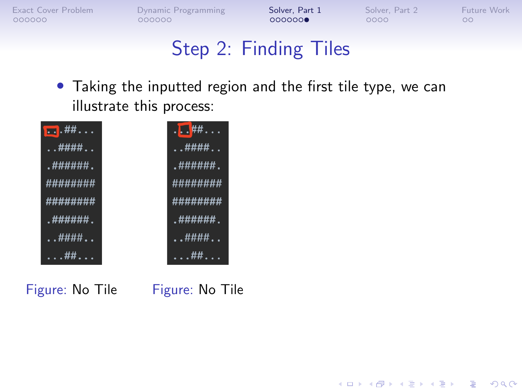$\mathbf{E} = \mathbf{A} \oplus \mathbf{B} + \mathbf{A} \oplus \mathbf{B} + \mathbf{A} \oplus \mathbf{B} + \mathbf{A} \oplus \mathbf{A}$ 

 $2990$ 

#### Step 2: Finding Tiles

• Taking the inputted region and the first tile type, we can illustrate this process:



Figure: No Tile Figure: No Tile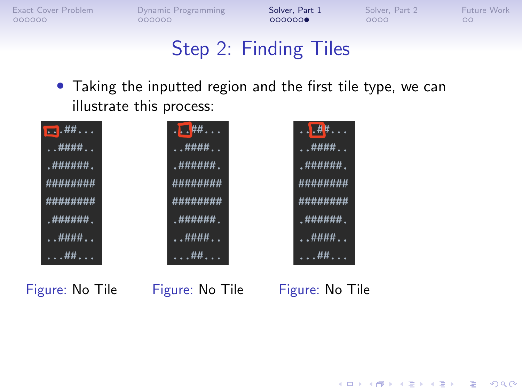**KORK ERKER ADAM ADA** 

## Step 2: Finding Tiles

• Taking the inputted region and the first tile type, we can illustrate this process:



Figure: No Tile Figure: No Tile Figure: No Tile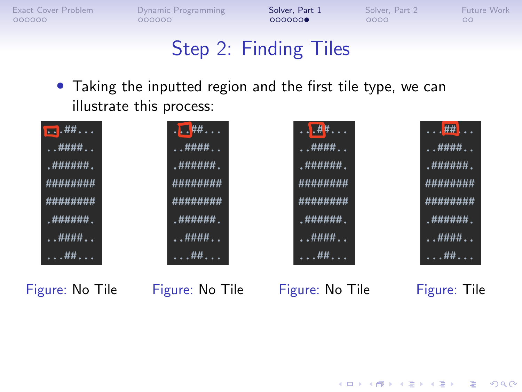## Step 2: Finding Tiles

• Taking the inputted region and the first tile type, we can illustrate this process:



Figure: No Tile Figure: No Tile Figure: No Tile Figure: Tile

**KORK ERKER ADAM ADA**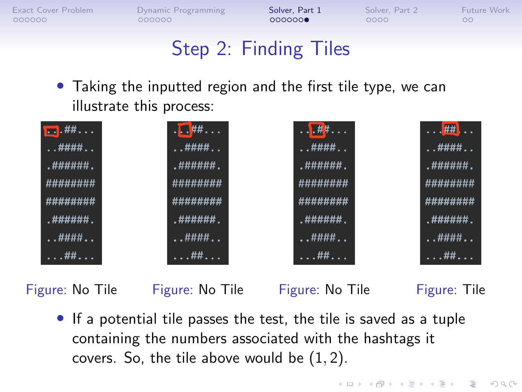**KORKARYKERKER POLO** 

# Step 2: Finding Tiles

• Taking the inputted region and the first tile type, we can illustrate this process:



Figure: No Tile Figure: No Tile Figure: No Tile Figure: Tile

• If a potential tile passes the test, the tile is saved as a tuple containing the numbers associated with the hashtags it covers. So, the tile above would be  $(1, 2)$ .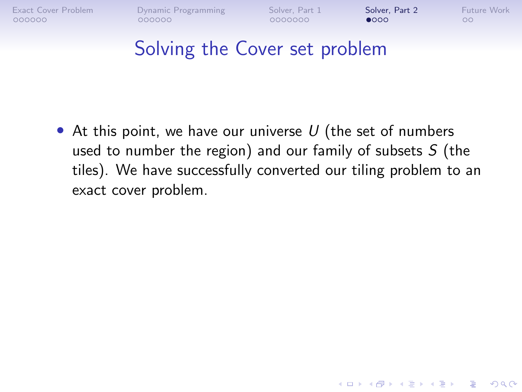<span id="page-63-0"></span> $000000$ 

0000000

 $\bullet$ 000

**KORK ERKER ADAM ADA** 

#### Solving the Cover set problem

• At this point, we have our universe  $U$  (the set of numbers used to number the region) and our family of subsets  $S$  (the tiles). We have successfully converted our tiling problem to an exact cover problem.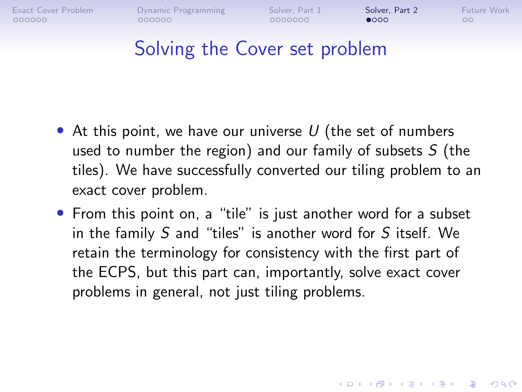$000000$ 

0000000

 $\bullet$ 000

**KORK ERKER ADAM ADA** 

 $\circ$ 

#### Solving the Cover set problem

- At this point, we have our universe  $U$  (the set of numbers used to number the region) and our family of subsets  $S$  (the tiles). We have successfully converted our tiling problem to an exact cover problem.
- From this point on, a "tile" is just another word for a subset in the family S and "tiles" is another word for S itself. We retain the terminology for consistency with the first part of the ECPS, but this part can, importantly, solve exact cover problems in general, not just tiling problems.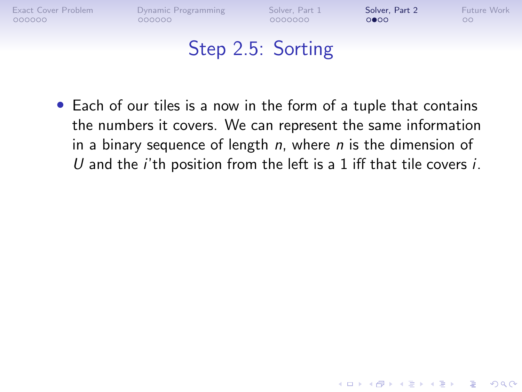$0000$ 

**KORK ERKER ADA ADA KORA** 

## Step 2.5: Sorting

• Each of our tiles is a now in the form of a tuple that contains the numbers it covers. We can represent the same information in a binary sequence of length  $n$ , where  $n$  is the dimension of U and the *i*'th position from the left is a 1 iff that tile covers *i*.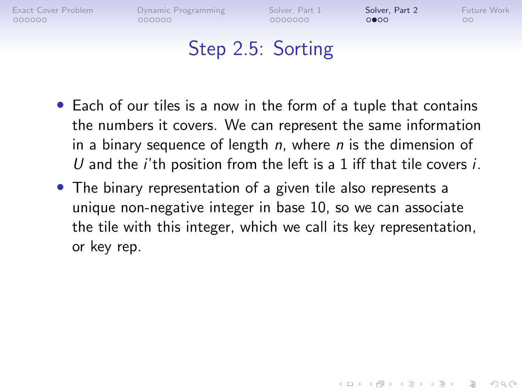0000000

 $0000$ 

**KORK ERKER ADA ADA KORA** 

- Each of our tiles is a now in the form of a tuple that contains the numbers it covers. We can represent the same information in a binary sequence of length  $n$ , where  $n$  is the dimension of U and the *i*'th position from the left is a 1 iff that tile covers *i*.
- The binary representation of a given tile also represents a unique non-negative integer in base 10, so we can associate the tile with this integer, which we call its key representation, or key rep.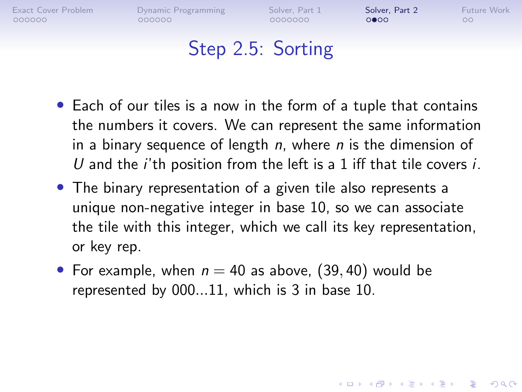$000000$ 

0000000

 $0000$ 

**KORK ERKER ADA ADA KORA** 

 $\circ$ 

- Each of our tiles is a now in the form of a tuple that contains the numbers it covers. We can represent the same information in a binary sequence of length  $n$ , where  $n$  is the dimension of U and the *i*'th position from the left is a 1 iff that tile covers *i*.
- The binary representation of a given tile also represents a unique non-negative integer in base 10, so we can associate the tile with this integer, which we call its key representation, or key rep.
- For example, when  $n = 40$  as above, (39, 40) would be represented by 000...11, which is 3 in base 10.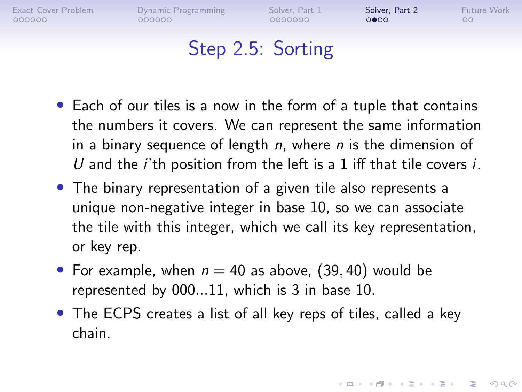$000000$ 

0000000

 $0000$ 

**KORK ERKER ADA ADA KORA** 

 $\circ$ 

- Each of our tiles is a now in the form of a tuple that contains the numbers it covers. We can represent the same information in a binary sequence of length  $n$ , where  $n$  is the dimension of U and the *i*'th position from the left is a 1 iff that tile covers *i*.
- The binary representation of a given tile also represents a unique non-negative integer in base 10, so we can associate the tile with this integer, which we call its key representation, or key rep.
- For example, when  $n = 40$  as above, (39, 40) would be represented by 000...11, which is 3 in base 10.
- The ECPS creates a list of all key reps of tiles, called a key chain.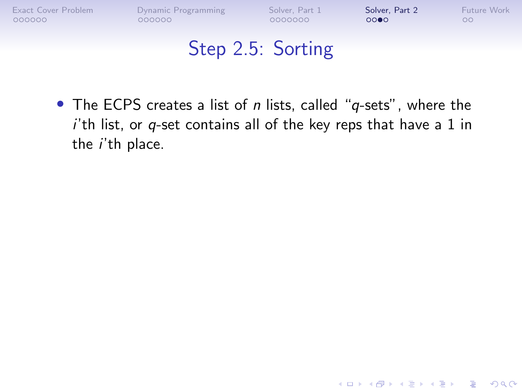**KORK ERKER ADA ADA KORA** 

#### Step 2.5: Sorting

• The ECPS creates a list of n lists, called "q-sets", where the  $i'$ th list, or  $q$ -set contains all of the key reps that have a 1 in the i'th place.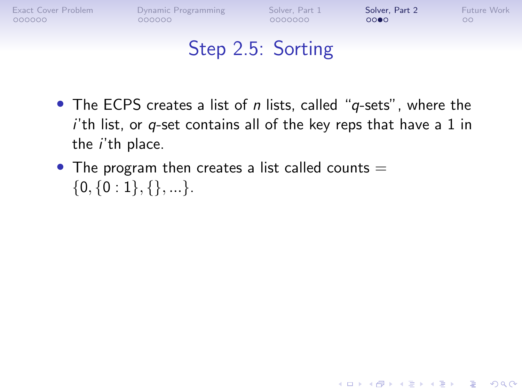$0000$ 

**KORK ERKER ADA ADA KORA** 

- The ECPS creates a list of  $n$  lists, called " $q$ -sets", where the  $i'$ th list, or  $q$ -set contains all of the key reps that have a 1 in the i'th place.
- The program then creates a list called counts  $=$  $\{0, \{0:1\}, \{\}, ...\}.$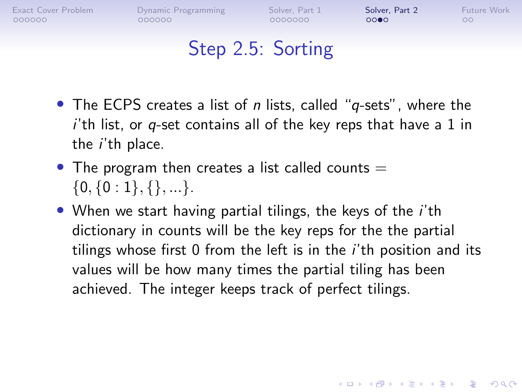$000000$ 

**KORK ERKER ADAM ADA** 

 $\circ$ 

- The ECPS creates a list of  $n$  lists, called " $q$ -sets", where the  $i'$ th list, or  $q$ -set contains all of the key reps that have a 1 in the i'th place.
- The program then creates a list called counts  $=$  $\{0, \{0:1\}, \{\}, \ldots\}.$
- When we start having partial tilings, the keys of the *i*'th dictionary in counts will be the key reps for the the partial tilings whose first 0 from the left is in the i'th position and its values will be how many times the partial tiling has been achieved. The integer keeps track of perfect tilings.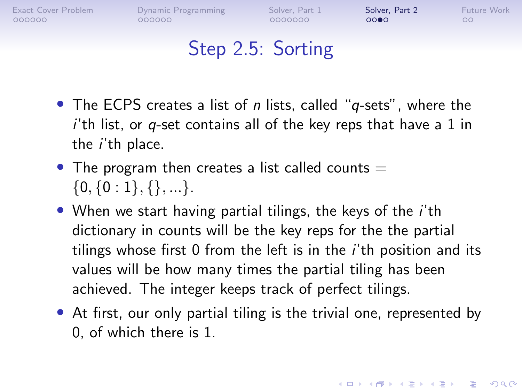[Exact Cover Problem](#page-1-0) [Dynamic Programming](#page-18-0) [Solver, Part 1](#page-37-0) [Solver, Part 2](#page-63-0) [Future Work](#page-78-0)  $000000$ 

 $000000$ 

0000000

 $0000$ 

 $\circ$ 

# Step 2.5: Sorting

- The ECPS creates a list of  $n$  lists, called " $q$ -sets", where the  $i'$ th list, or  $q$ -set contains all of the key reps that have a 1 in the i'th place.
- The program then creates a list called counts  $=$  $\{0, \{0:1\}, \{\}, \ldots\}.$
- When we start having partial tilings, the keys of the *i*'th dictionary in counts will be the key reps for the the partial tilings whose first 0 from the left is in the i'th position and its values will be how many times the partial tiling has been achieved. The integer keeps track of perfect tilings.
- At first, our only partial tiling is the trivial one, represented by 0, of which there is 1.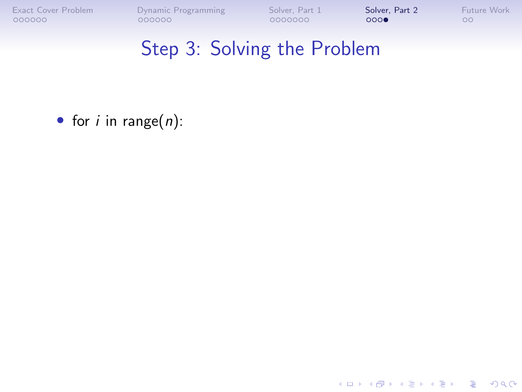[Exact Cover Problem](#page-1-0) [Dynamic Programming](#page-18-0) [Solver, Part 1](#page-37-0) [Solver, Part 2](#page-63-0) [Future Work](#page-78-0)<br>
0000000 000000 000000 000000 00000 000

### Step 3: Solving the Problem

• for  $i$  in range $(n)$ :

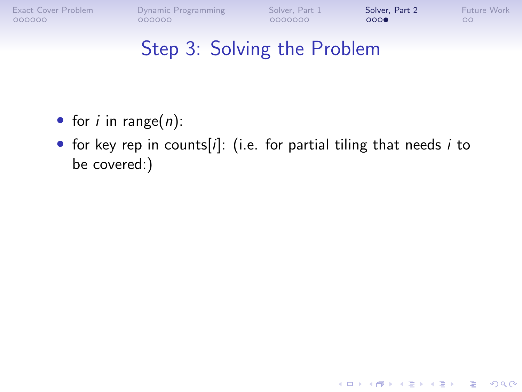[Exact Cover Problem](#page-1-0) [Dynamic Programming](#page-18-0) [Solver, Part 1](#page-37-0) [Solver, Part 2](#page-63-0) [Future Work](#page-78-0)<br>
0000000 000000 000000 00000 0000 000

**KORK ERKER ADA ADA KORA** 

- for *i* in range( $n$ ):
- for key rep in counts[i]: (i.e. for partial tiling that needs i to be covered:)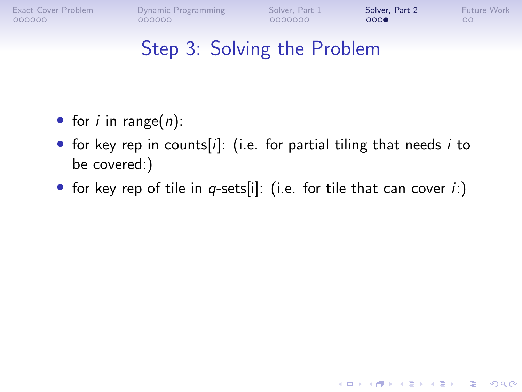[Exact Cover Problem](#page-1-0) [Dynamic Programming](#page-18-0) [Solver, Part 1](#page-37-0) [Solver, Part 2](#page-63-0) [Future Work](#page-78-0)<br>
0000000 0000000 0000000 000000 000 000000

000000

 $000$ 

**KORK ERKER ADA ADA KORA** 

- for *i* in range( $n$ ):
- for key rep in counts[ $i$ ]: (i.e. for partial tiling that needs  $i$  to be covered:)
- for key rep of tile in  $q$ -sets[i]: (i.e. for tile that can cover i:)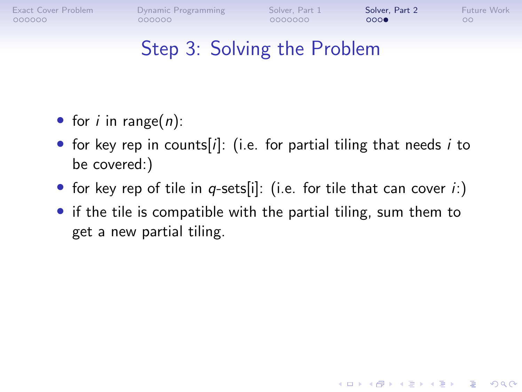[Exact Cover Problem](#page-1-0) [Dynamic Programming](#page-18-0) [Solver, Part 1](#page-37-0) [Solver, Part 2](#page-63-0) [Future Work](#page-78-0)  $000000$ 

 $000000$ 

0000000

 $000$ 

**KORK EXTERNE PROVIDE** 

 $\circ$ 

- for *i* in range( $n$ ):
- for key rep in counts[i]: (i.e. for partial tiling that needs i to be covered:)
- for key rep of tile in  $q$ -sets[i]: (i.e. for tile that can cover  $i$ :)
- if the tile is compatible with the partial tiling, sum them to get a new partial tiling.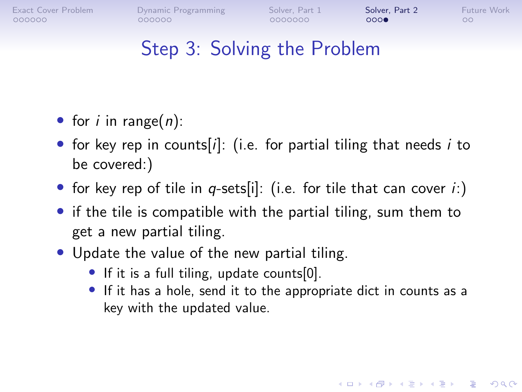[Exact Cover Problem](#page-1-0) [Dynamic Programming](#page-18-0) [Solver, Part 1](#page-37-0) [Solver, Part 2](#page-63-0) [Future Work](#page-78-0)  $000000$ 

 $000000$ 

0000000

 $000$ 

**KORKARYKERKER POLO** 

 $\circ$ 

- for *i* in range( $n$ ):
- for key rep in counts[i]: (i.e. for partial tiling that needs i to be covered:)
- for key rep of tile in q-sets[i]: (i.e. for tile that can cover  $i$ :)
- if the tile is compatible with the partial tiling, sum them to get a new partial tiling.
- Update the value of the new partial tiling.
	- If it is a full tiling, update counts[0].
	- If it has a hole, send it to the appropriate dict in counts as a key with the updated value.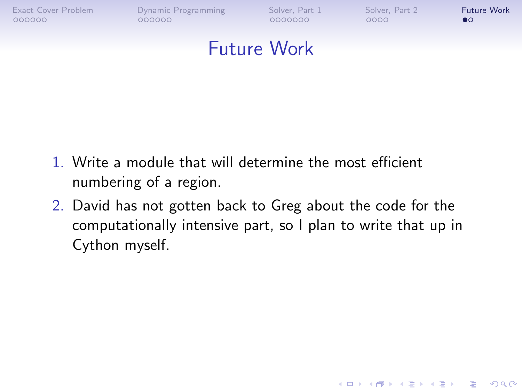<span id="page-78-0"></span>

[Exact Cover Problem](#page-1-0) [Dynamic Programming](#page-18-0) [Solver, Part 1](#page-37-0) [Solver, Part 2](#page-63-0) [Future Work](#page-78-0)

**KORK ERKER ADA ADA KORA** 

#### Future Work

- 1. Write a module that will determine the most efficient numbering of a region.
- 2. David has not gotten back to Greg about the code for the computationally intensive part, so I plan to write that up in Cython myself.